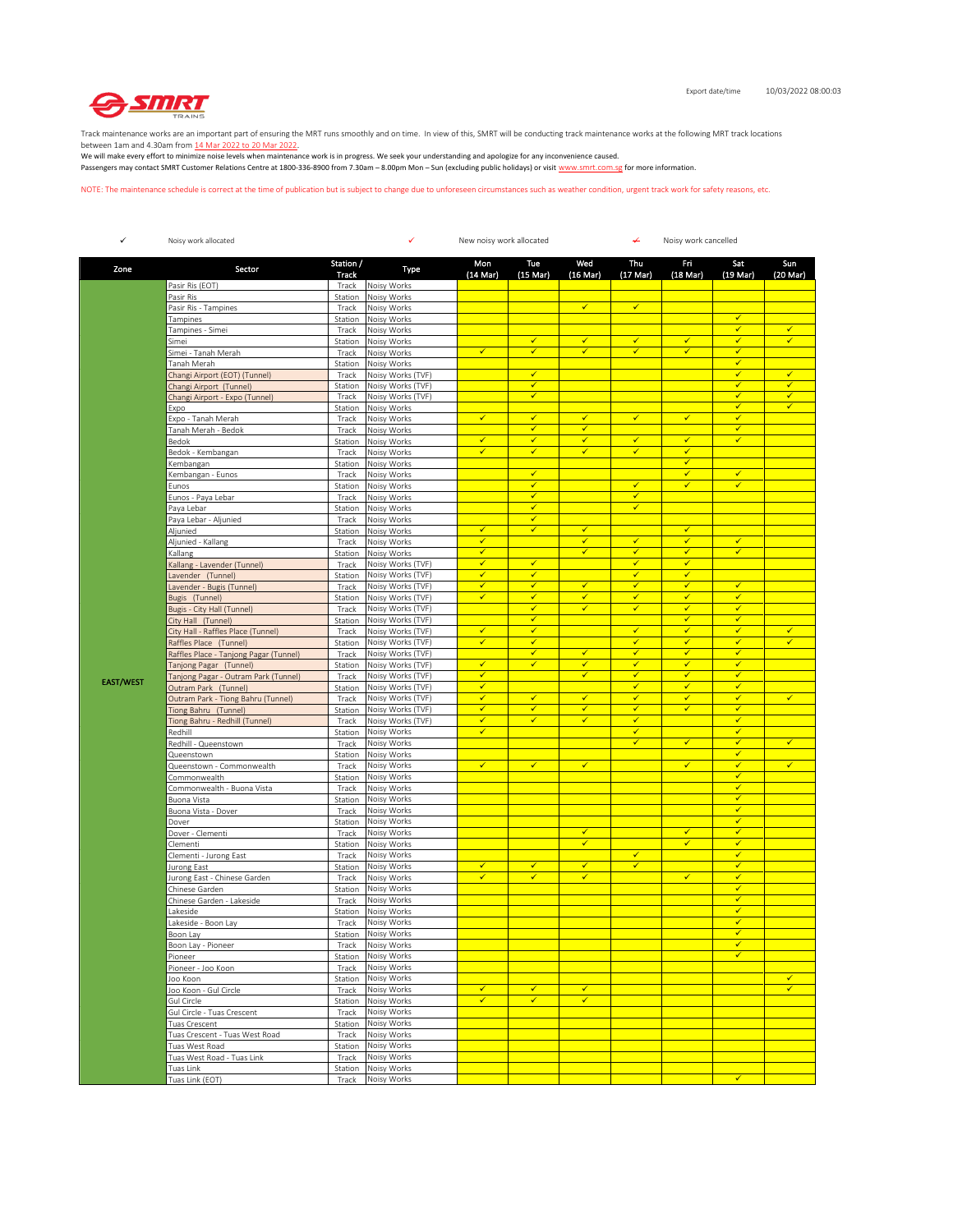

Track maintenance works are an important part of ensuring the MRT runs smoothly and on time. In view of this, SMRT will be conducting track maintenance works at the following MRT track locations

between 1am and 4.30am from <u>14 Mar 2022 to 20 Mar 2022</u>.<br>We will make every effort to minimize noise levels when maintenance work is in progress. We seek your understanding and apologize for any inconvenience caused. Passengers may contact SMRT Customer Relations Centre at 1800-336-8900 from 7.30am – 8.00pm Mon – Sun (excluding public holidays) or visit www.smrt.com.sg for more information.

NOTE: The maintenance schedule is correct at the time of publication but is subject to change due to unforeseen circumstances such as weather condition, urgent track work for safety reasons, etc.

| ✓                | Noisy work allocated                                     |                    | ✓<br>New noisy work allocated          |                   |                           |                              |                              | ↞<br>Noisy work cancelled    |                              |                         |  |  |
|------------------|----------------------------------------------------------|--------------------|----------------------------------------|-------------------|---------------------------|------------------------------|------------------------------|------------------------------|------------------------------|-------------------------|--|--|
| Zone             | Sector                                                   | Station /<br>Track | Type                                   | Mon<br>(14 Mar)   | Tue<br>$(15 \text{ Mar})$ | Wed<br>$(16 \text{ Mar})$    | Thu<br>$(17 \text{ Mar})$    | Fri<br>$(18$ Mar)            | Sat<br>$(19 \text{ Mar})$    | Sun<br>(20 Mar)         |  |  |
|                  | Pasir Ris (EOT)                                          | Track              | Noisy Works                            |                   |                           |                              |                              |                              |                              |                         |  |  |
|                  | Pasir Ris                                                | Station            | Noisy Works                            |                   |                           |                              |                              |                              |                              |                         |  |  |
|                  | Pasir Ris - Tampines                                     | Track              | Noisy Works                            |                   |                           | $\checkmark$                 | $\checkmark$                 |                              | $\checkmark$                 |                         |  |  |
|                  | Tampines                                                 | Station            | Noisy Works                            |                   |                           |                              |                              |                              | $\checkmark$                 | ✓                       |  |  |
|                  | Tampines - Simei<br>Simei                                | Track<br>Station   | Noisy Works<br>Noisy Works             |                   | $\checkmark$              | $\checkmark$                 | $\checkmark$                 | $\checkmark$                 | $\checkmark$                 | $\checkmark$            |  |  |
|                  | Simei - Tanah Merah                                      | Track              | Noisy Works                            | $\checkmark$      | $\checkmark$              | $\checkmark$                 | $\checkmark$                 | $\checkmark$                 | $\checkmark$                 |                         |  |  |
|                  | Tanah Merah                                              | Station            | Noisy Works                            |                   |                           |                              |                              |                              | $\checkmark$                 |                         |  |  |
|                  | Changi Airport (EOT) (Tunnel)                            | Track              | Noisy Works (TVF)                      |                   | ✓                         |                              |                              |                              | $\checkmark$                 | $\overline{\checkmark}$ |  |  |
|                  | Changi Airport (Tunnel)                                  | Station            | Noisy Works (TVF)                      |                   | $\checkmark$              |                              |                              |                              | $\checkmark$                 | ✓                       |  |  |
|                  | Changi Airport - Expo (Tunnel)                           | Track              | Noisy Works (TVF)                      |                   | $\checkmark$              |                              |                              |                              | $\checkmark$<br>$\checkmark$ | ✓<br>$\checkmark$       |  |  |
|                  | Expo<br>Expo - Tanah Merah                               | Station<br>Track   | Noisy Works<br>Noisy Works             | ✓                 | ✓                         | ✓                            | $\checkmark$                 | ✓                            | $\checkmark$                 |                         |  |  |
|                  | Tanah Merah - Bedok                                      | Track              | Noisy Works                            |                   | $\checkmark$              | $\checkmark$                 |                              |                              | $\checkmark$                 |                         |  |  |
|                  | Bedok                                                    | Station            | Noisy Works                            | $\checkmark$      | $\checkmark$              | $\checkmark$                 | $\checkmark$                 | $\checkmark$                 | $\checkmark$                 |                         |  |  |
|                  | Bedok - Kembangan                                        | Track              | Noisy Works                            | $\checkmark$      | ✔                         | $\checkmark$                 | ✔                            | ✔                            |                              |                         |  |  |
|                  | Kembangan                                                | Station            | Noisy Works                            |                   |                           |                              |                              | $\checkmark$                 |                              |                         |  |  |
|                  | Kembangan - Eunos                                        | Track              | Noisy Works                            |                   | ✓                         |                              |                              | ✓                            | $\checkmark$                 |                         |  |  |
|                  | Eunos                                                    | Station            | Noisy Works                            |                   | $\checkmark$              |                              | $\checkmark$                 | $\checkmark$                 | $\checkmark$                 |                         |  |  |
|                  | Eunos - Paya Lebar                                       | Track              | Noisy Works                            |                   | $\checkmark$<br>✓         |                              | $\checkmark$<br>✓            |                              |                              |                         |  |  |
|                  | Paya Lebar<br>Paya Lebar - Aljunied                      | Station<br>Track   | Noisy Works<br>Noisy Works             |                   | $\checkmark$              |                              |                              |                              |                              |                         |  |  |
|                  | Aljunied                                                 | Station            | Noisy Works                            | $\checkmark$      | $\checkmark$              | $\checkmark$                 |                              | $\checkmark$                 |                              |                         |  |  |
|                  | Aljunied - Kallang                                       | Track              | Noisy Works                            | $\checkmark$      |                           | $\checkmark$                 | $\checkmark$                 | $\checkmark$                 | $\checkmark$                 |                         |  |  |
|                  | Kallang                                                  | Station            | Noisy Works                            | $\checkmark$      |                           | $\checkmark$                 | $\checkmark$                 | $\checkmark$                 | $\checkmark$                 |                         |  |  |
|                  | Kallang - Lavender (Tunnel)                              | Track              | Noisy Works (TVF)                      | $\checkmark$      | ✔                         |                              | ✔                            | √                            |                              |                         |  |  |
|                  | Lavender (Tunnel)                                        | Station            | Noisy Works (TVF)                      | $\checkmark$      | $\checkmark$              |                              | $\checkmark$                 | $\checkmark$                 |                              |                         |  |  |
|                  | Lavender - Bugis (Tunnel)                                | Track              | Noisy Works (TVF)                      | $\checkmark$      | $\checkmark$              | ✓                            | $\checkmark$                 | ✓                            | $\checkmark$                 |                         |  |  |
|                  | Bugis (Tunnel)                                           | Station            | Noisy Works (TVF)                      | $\checkmark$      | $\checkmark$              | $\checkmark$<br>$\checkmark$ | $\checkmark$<br>$\checkmark$ | $\checkmark$<br>$\checkmark$ | $\checkmark$<br>$\checkmark$ |                         |  |  |
|                  | Bugis - City Hall (Tunnel)                               | Track              | Noisy Works (TVF)<br>Noisy Works (TVF) |                   | $\checkmark$<br>✔         |                              |                              | ✔                            | ✔                            |                         |  |  |
|                  | City Hall (Tunnel)<br>City Hall - Raffles Place (Tunnel) | Station<br>Track   | Noisy Works (TVF)                      | $\checkmark$      | $\checkmark$              |                              | $\checkmark$                 | $\checkmark$                 | $\checkmark$                 | $\checkmark$            |  |  |
|                  | Raffles Place (Tunnel)                                   | Station            | Noisy Works (TVF)                      | $\checkmark$      | ✓                         |                              | $\checkmark$                 | ✓                            | $\checkmark$                 | ✓                       |  |  |
|                  | Raffles Place - Tanjong Pagar (Tunnel)                   | Track              | Noisy Works (TVF)                      |                   | $\checkmark$              | $\checkmark$                 | $\checkmark$                 | $\checkmark$                 | $\checkmark$                 |                         |  |  |
|                  | Tanjong Pagar (Tunnel)                                   | Station            | Noisy Works (TVF)                      | ✓                 | ✓                         | ✓                            | $\checkmark$                 | $\checkmark$                 | $\checkmark$                 |                         |  |  |
| <b>EAST/WEST</b> | Tanjong Pagar - Outram Park (Tunnel)                     | Track              | Noisy Works (TVF)                      | $\checkmark$      |                           | $\checkmark$                 | $\checkmark$                 | ✔                            | $\checkmark$                 |                         |  |  |
|                  | Outram Park (Tunnel)                                     | Station            | Noisy Works (TVF)                      | ✔                 |                           |                              | $\checkmark$                 | $\checkmark$                 | $\checkmark$                 |                         |  |  |
|                  | Outram Park - Tiong Bahru (Tunnel)                       | Track              | Noisy Works (TVF)                      | $\checkmark$      | $\checkmark$              | $\checkmark$                 | $\checkmark$                 | $\checkmark$                 | $\checkmark$                 | $\checkmark$            |  |  |
|                  | Tiong Bahru (Tunnel)<br>Tiong Bahru - Redhill (Tunnel)   | Station<br>Track   | Noisy Works (TVF)<br>Noisy Works (TVF) | $\checkmark$<br>✓ | ✓<br>✓                    | $\checkmark$<br>$\checkmark$ | $\checkmark$<br>$\checkmark$ | ✓                            | $\checkmark$<br>$\checkmark$ |                         |  |  |
|                  | Redhill                                                  | Station            | Noisy Works                            | $\checkmark$      |                           |                              | $\checkmark$                 |                              | $\checkmark$                 |                         |  |  |
|                  | Redhill - Queenstown                                     | Track              | Noisy Works                            |                   |                           |                              | $\checkmark$                 | $\checkmark$                 | $\checkmark$                 | ✓                       |  |  |
|                  | Queenstown                                               | Station            | Noisy Works                            |                   |                           |                              |                              |                              | $\checkmark$                 |                         |  |  |
|                  | Queenstown - Commonwealth                                | Track              | Noisy Works                            | $\checkmark$      | $\checkmark$              | $\checkmark$                 |                              | $\checkmark$                 | $\checkmark$                 | $\checkmark$            |  |  |
|                  | Commonwealth                                             | Station            | Noisy Works                            |                   |                           |                              |                              |                              | $\checkmark$                 |                         |  |  |
|                  | Commonwealth - Buona Vista                               | Track              | Noisy Works                            |                   |                           |                              |                              |                              | $\checkmark$                 |                         |  |  |
|                  | Buona Vista                                              | Station            | Noisy Works<br>Noisy Works             |                   |                           |                              |                              |                              | $\checkmark$<br>$\checkmark$ |                         |  |  |
|                  | Buona Vista - Dover                                      | Track              | Noisy Works                            |                   |                           |                              |                              |                              | $\checkmark$                 |                         |  |  |
|                  | Dover<br>Dover - Clementi                                | Station<br>Track   | Noisy Works                            |                   |                           | $\checkmark$                 |                              | $\checkmark$                 | $\checkmark$                 |                         |  |  |
|                  | Clementi                                                 | Station            | Noisy Works                            |                   |                           | $\checkmark$                 |                              | $\checkmark$                 | $\checkmark$                 |                         |  |  |
|                  | Clementi - Jurong East                                   | Track              | Noisy Works                            |                   |                           |                              | ✔                            |                              | $\checkmark$                 |                         |  |  |
|                  | Jurong East                                              | Station            | Noisy Works                            | ✓                 | $\checkmark$              | $\checkmark$                 | $\checkmark$                 |                              | $\checkmark$                 |                         |  |  |
|                  | Jurong East - Chinese Garden                             | Track              | Noisy Works                            | ✓                 | ✓                         | $\checkmark$                 |                              | $\checkmark$                 | $\checkmark$                 |                         |  |  |
|                  | Chinese Garden                                           | Station            | Noisy Works                            |                   |                           |                              |                              |                              | $\checkmark$                 |                         |  |  |
|                  | Chinese Garden - Lakeside<br>Lakeside                    | Track              | Noisy Works<br>Noisy Works             |                   |                           |                              |                              |                              | $\checkmark$<br>$\checkmark$ |                         |  |  |
|                  | Lakeside - Boon Lay                                      | Station<br>Track   | Noisy Works                            |                   |                           |                              |                              |                              | $\checkmark$                 |                         |  |  |
|                  | Boon Lay                                                 | Station            | Noisy Works                            |                   |                           |                              |                              |                              |                              |                         |  |  |
|                  | Boon Lay - Pioneer                                       | Track              | Noisy Works                            |                   |                           |                              |                              |                              | $\checkmark$                 |                         |  |  |
|                  | Pioneer                                                  | Station            | Noisy Works                            |                   |                           |                              |                              |                              | ✓                            |                         |  |  |
|                  | Pioneer - Joo Koon                                       | Track              | Noisy Works                            |                   |                           |                              |                              |                              |                              |                         |  |  |
|                  | Joo Koon                                                 | Station            | Noisy Works                            |                   |                           |                              |                              |                              |                              | ✓                       |  |  |
|                  | Joo Koon - Gul Circle                                    | Track              | Noisy Works                            | $\checkmark$      | $\checkmark$              | $\checkmark$                 |                              |                              |                              | $\checkmark$            |  |  |
|                  | Gul Circle                                               | Station            | Noisy Works                            | $\checkmark$      | $\checkmark$              | $\checkmark$                 |                              |                              |                              |                         |  |  |
|                  | Gul Circle - Tuas Crescent<br>Tuas Crescent              | Track<br>Station   | Noisy Works<br>Noisy Works             |                   |                           |                              |                              |                              |                              |                         |  |  |
|                  | Tuas Crescent - Tuas West Road                           | Track              | Noisy Works                            |                   |                           |                              |                              |                              |                              |                         |  |  |
|                  | Tuas West Road                                           | Station            | Noisy Works                            |                   |                           |                              |                              |                              |                              |                         |  |  |
|                  | Tuas West Road - Tuas Link                               | Track              | Noisy Works                            |                   |                           |                              |                              |                              |                              |                         |  |  |
|                  | Tuas Link                                                | Station            | Noisy Works                            |                   |                           |                              |                              |                              |                              |                         |  |  |
|                  | Tuas Link (EOT)                                          | Track              | Noisy Works                            |                   |                           |                              |                              |                              | $\checkmark$                 |                         |  |  |